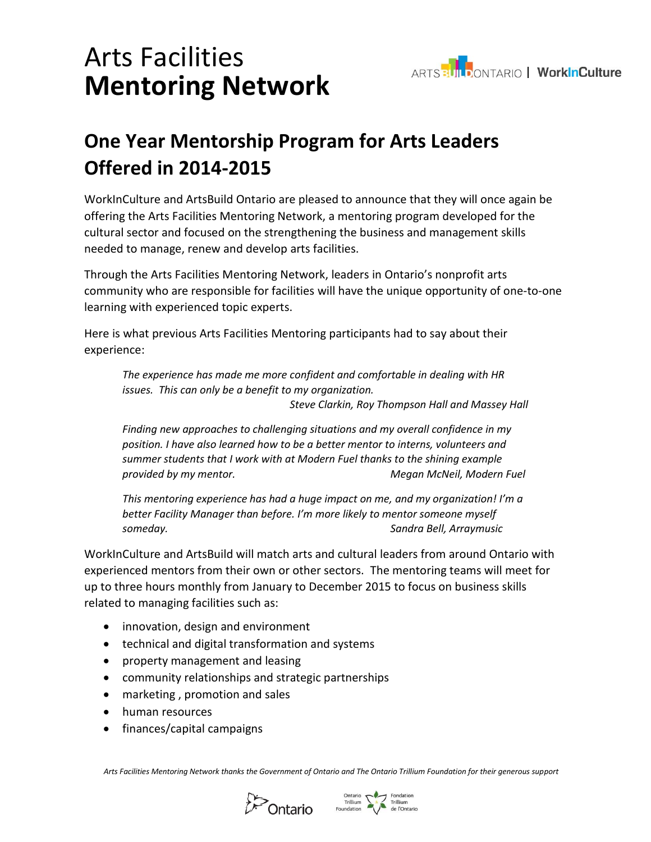



## **One Year Mentorship Program for Arts Leaders Offered in 2014-2015**

WorkInCulture and ArtsBuild Ontario are pleased to announce that they will once again be offering the Arts Facilities Mentoring Network, a mentoring program developed for the cultural sector and focused on the strengthening the business and management skills needed to manage, renew and develop arts facilities.

Through the Arts Facilities Mentoring Network, leaders in Ontario's nonprofit arts community who are responsible for facilities will have the unique opportunity of one-to-one learning with experienced topic experts.

Here is what previous Arts Facilities Mentoring participants had to say about their experience:

*The experience has made me more confident and comfortable in dealing with HR issues. This can only be a benefit to my organization. Steve Clarkin, Roy Thompson Hall and Massey Hall*

*Finding new approaches to challenging situations and my overall confidence in my position. I have also learned how to be a better mentor to interns, volunteers and summer students that I work with at Modern Fuel thanks to the shining example provided by my mentor. Megan McNeil, Modern Fuel*

*This mentoring experience has had a huge impact on me, and my organization! I'm a better Facility Manager than before. I'm more likely to mentor someone myself someday. Sandra Bell, Arraymusic*

WorkInCulture and ArtsBuild will match arts and cultural leaders from around Ontario with experienced mentors from their own or other sectors. The mentoring teams will meet for up to three hours monthly from January to December 2015 to focus on business skills related to managing facilities such as:

- innovation, design and environment
- technical and digital transformation and systems
- property management and leasing
- community relationships and strategic partnerships
- marketing, promotion and sales
- human resources
- finances/capital campaigns

*Arts Facilities Mentoring Network thanks the Government of Ontario and The Ontario Trillium Foundation for their generous support*



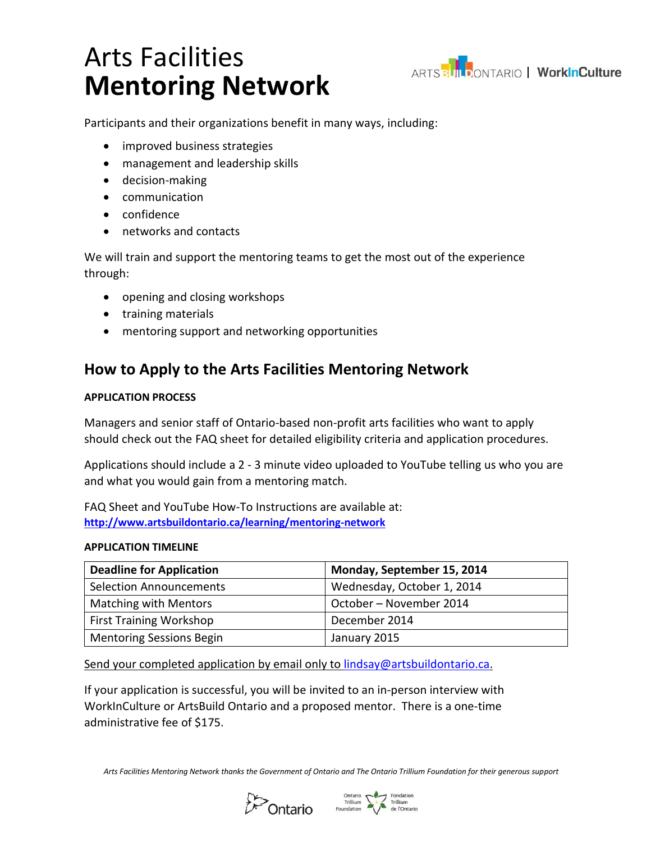# Arts Facilities **Mentoring Network**



Participants and their organizations benefit in many ways, including:

- improved business strategies
- management and leadership skills
- decision-making
- communication
- confidence
- networks and contacts

We will train and support the mentoring teams to get the most out of the experience through:

- opening and closing workshops
- training materials
- mentoring support and networking opportunities

### **How to Apply to the Arts Facilities Mentoring Network**

#### **APPLICATION PROCESS**

Managers and senior staff of Ontario-based non-profit arts facilities who want to apply should check out the FAQ sheet for detailed eligibility criteria and application procedures.

Applications should include a 2 - 3 minute video uploaded to YouTube telling us who you are and what you would gain from a mentoring match.

FAQ Sheet and YouTube How-To Instructions are available at: **<http://www.artsbuildontario.ca/learning/mentoring-network>**

#### **APPLICATION TIMELINE**

| <b>Deadline for Application</b> | Monday, September 15, 2014 |
|---------------------------------|----------------------------|
| <b>Selection Announcements</b>  | Wednesday, October 1, 2014 |
| <b>Matching with Mentors</b>    | October – November 2014    |
| <b>First Training Workshop</b>  | December 2014              |
| <b>Mentoring Sessions Begin</b> | January 2015               |

Send your completed application by email only to [lindsay@artsbuildontario.ca.](mailto:lindsay@artsbuildontario.ca)

If your application is successful, you will be invited to an in-person interview with WorkInCulture or ArtsBuild Ontario and a proposed mentor. There is a one-time administrative fee of \$175.

*Arts Facilities Mentoring Network thanks the Government of Ontario and The Ontario Trillium Foundation for their generous support*